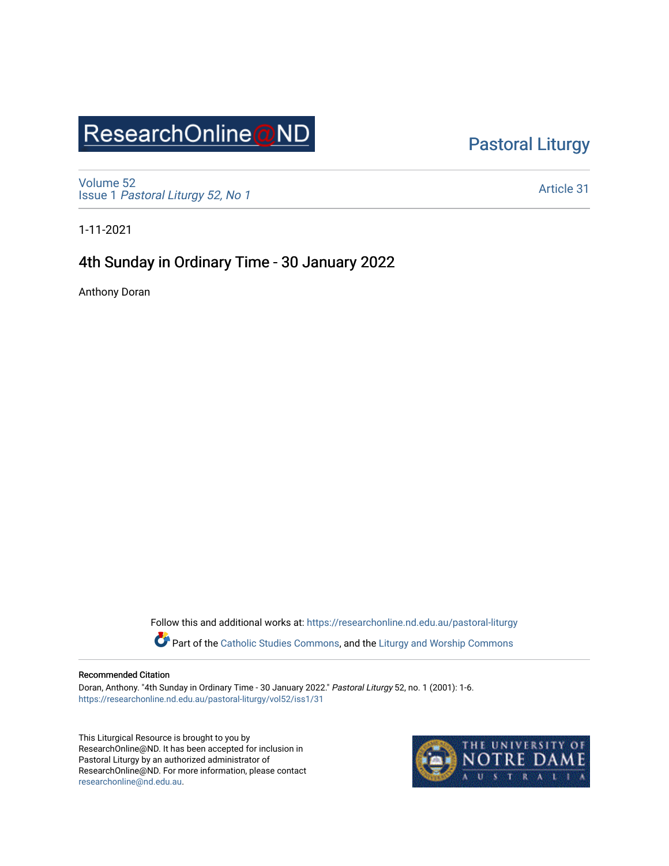# ResearchOnline@ND

[Pastoral Liturgy](https://researchonline.nd.edu.au/pastoral-liturgy) 

[Volume 52](https://researchonline.nd.edu.au/pastoral-liturgy/vol52) Issue 1 [Pastoral Liturgy 52, No 1](https://researchonline.nd.edu.au/pastoral-liturgy/vol52/iss1)

[Article 31](https://researchonline.nd.edu.au/pastoral-liturgy/vol52/iss1/31) 

1-11-2021

### 4th Sunday in Ordinary Time - 30 January 2022

Anthony Doran

Follow this and additional works at: [https://researchonline.nd.edu.au/pastoral-liturgy](https://researchonline.nd.edu.au/pastoral-liturgy?utm_source=researchonline.nd.edu.au%2Fpastoral-liturgy%2Fvol52%2Fiss1%2F31&utm_medium=PDF&utm_campaign=PDFCoverPages)

Part of the [Catholic Studies Commons,](http://network.bepress.com/hgg/discipline/1294?utm_source=researchonline.nd.edu.au%2Fpastoral-liturgy%2Fvol52%2Fiss1%2F31&utm_medium=PDF&utm_campaign=PDFCoverPages) and the Liturgy and Worship Commons

#### Recommended Citation

Doran, Anthony. "4th Sunday in Ordinary Time - 30 January 2022." Pastoral Liturgy 52, no. 1 (2001): 1-6. [https://researchonline.nd.edu.au/pastoral-liturgy/vol52/iss1/31](https://researchonline.nd.edu.au/pastoral-liturgy/vol52/iss1/31?utm_source=researchonline.nd.edu.au%2Fpastoral-liturgy%2Fvol52%2Fiss1%2F31&utm_medium=PDF&utm_campaign=PDFCoverPages)

This Liturgical Resource is brought to you by ResearchOnline@ND. It has been accepted for inclusion in Pastoral Liturgy by an authorized administrator of ResearchOnline@ND. For more information, please contact [researchonline@nd.edu.au.](mailto:researchonline@nd.edu.au)

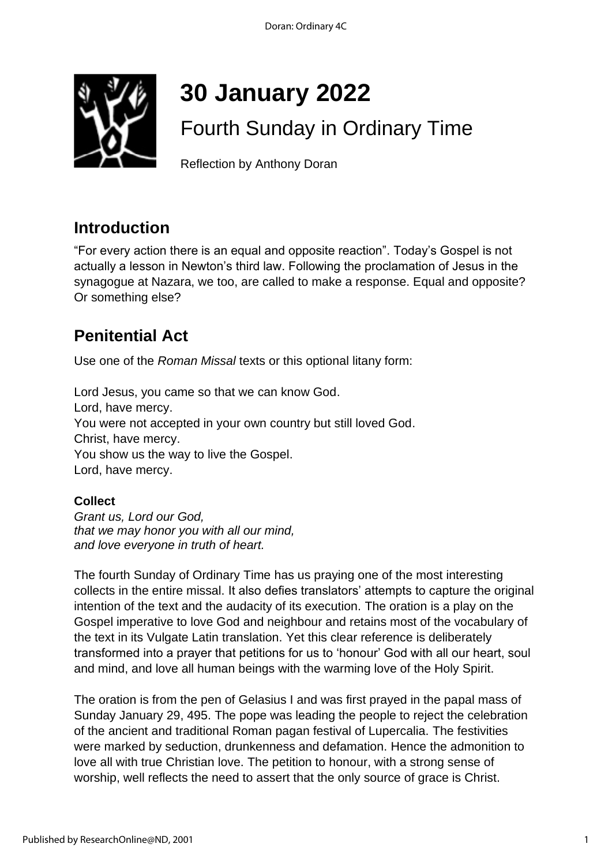

# **30 January 2022**

# Fourth Sunday in Ordinary Time

Reflection by Anthony Doran

### **Introduction**

"For every action there is an equal and opposite reaction". Today's Gospel is not actually a lesson in Newton's third law. Following the proclamation of Jesus in the synagogue at Nazara, we too, are called to make a response. Equal and opposite? Or something else?

# **Penitential Act**

Use one of the *Roman Missal* texts or this optional litany form:

Lord Jesus, you came so that we can know God. Lord, have mercy. You were not accepted in your own country but still loved God. Christ, have mercy. You show us the way to live the Gospel. Lord, have mercy.

### **Collect**

*Grant us, Lord our God, that we may honor you with all our mind, and love everyone in truth of heart.* 

The fourth Sunday of Ordinary Time has us praying one of the most interesting collects in the entire missal. It also defies translators' attempts to capture the original intention of the text and the audacity of its execution. The oration is a play on the Gospel imperative to love God and neighbour and retains most of the vocabulary of the text in its Vulgate Latin translation. Yet this clear reference is deliberately transformed into a prayer that petitions for us to 'honour' God with all our heart, soul and mind, and love all human beings with the warming love of the Holy Spirit.

The oration is from the pen of Gelasius I and was first prayed in the papal mass of Sunday January 29, 495. The pope was leading the people to reject the celebration of the ancient and traditional Roman pagan festival of Lupercalia. The festivities were marked by seduction, drunkenness and defamation. Hence the admonition to love all with true Christian love. The petition to honour, with a strong sense of worship, well reflects the need to assert that the only source of grace is Christ.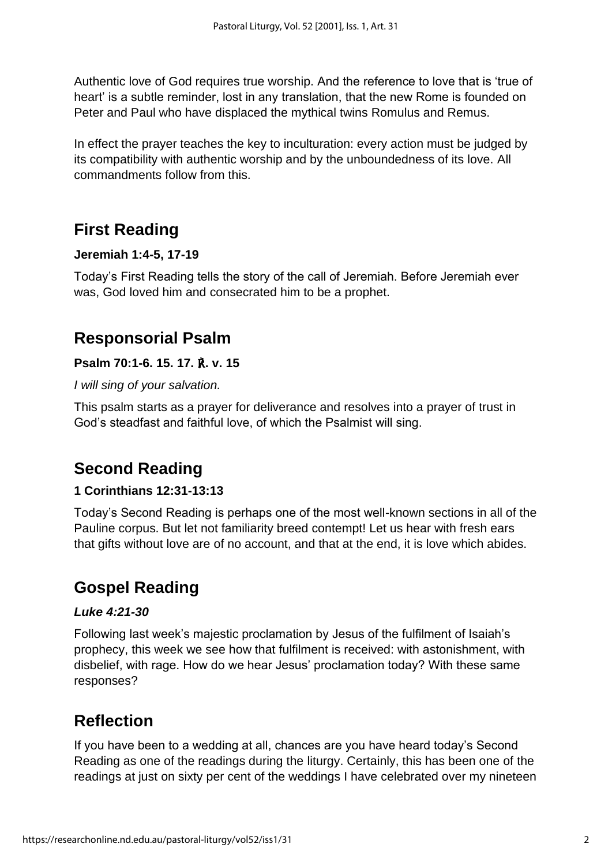Authentic love of God requires true worship. And the reference to love that is 'true of heart' is a subtle reminder, lost in any translation, that the new Rome is founded on Peter and Paul who have displaced the mythical twins Romulus and Remus.

In effect the prayer teaches the key to inculturation: every action must be judged by its compatibility with authentic worship and by the unboundedness of its love. All commandments follow from this.

# **First Reading**

### **Jeremiah 1:4-5, 17-19**

Today's First Reading tells the story of the call of Jeremiah. Before Jeremiah ever was, God loved him and consecrated him to be a prophet.

# **Responsorial Psalm**

### **Psalm 70:1-6. 15. 17.** ℟**. v. 15**

*I will sing of your salvation.*

This psalm starts as a prayer for deliverance and resolves into a prayer of trust in God's steadfast and faithful love, of which the Psalmist will sing.

# **Second Reading**

### **1 Corinthians 12:31-13:13**

Today's Second Reading is perhaps one of the most well-known sections in all of the Pauline corpus. But let not familiarity breed contempt! Let us hear with fresh ears that gifts without love are of no account, and that at the end, it is love which abides.

# **Gospel Reading**

### *Luke 4:21-30*

Following last week's majestic proclamation by Jesus of the fulfilment of Isaiah's prophecy, this week we see how that fulfilment is received: with astonishment, with disbelief, with rage. How do we hear Jesus' proclamation today? With these same responses?

# **Reflection**

If you have been to a wedding at all, chances are you have heard today's Second Reading as one of the readings during the liturgy. Certainly, this has been one of the readings at just on sixty per cent of the weddings I have celebrated over my nineteen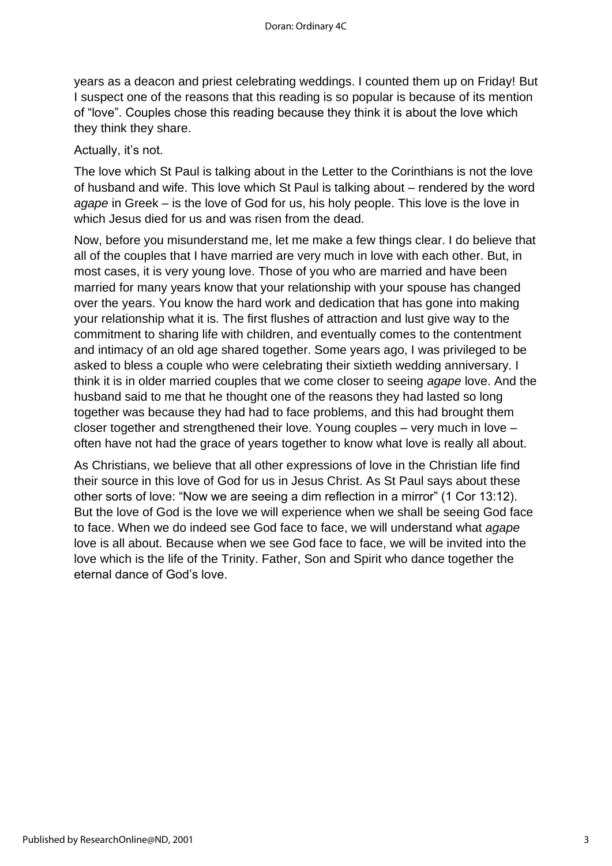years as a deacon and priest celebrating weddings. I counted them up on Friday! But I suspect one of the reasons that this reading is so popular is because of its mention of "love". Couples chose this reading because they think it is about the love which they think they share.

### Actually, it's not.

The love which St Paul is talking about in the Letter to the Corinthians is not the love of husband and wife. This love which St Paul is talking about – rendered by the word *agape* in Greek – is the love of God for us, his holy people. This love is the love in which Jesus died for us and was risen from the dead.

Now, before you misunderstand me, let me make a few things clear. I do believe that all of the couples that I have married are very much in love with each other. But, in most cases, it is very young love. Those of you who are married and have been married for many years know that your relationship with your spouse has changed over the years. You know the hard work and dedication that has gone into making your relationship what it is. The first flushes of attraction and lust give way to the commitment to sharing life with children, and eventually comes to the contentment and intimacy of an old age shared together. Some years ago, I was privileged to be asked to bless a couple who were celebrating their sixtieth wedding anniversary. I think it is in older married couples that we come closer to seeing *agape* love. And the husband said to me that he thought one of the reasons they had lasted so long together was because they had had to face problems, and this had brought them closer together and strengthened their love. Young couples – very much in love – often have not had the grace of years together to know what love is really all about.

As Christians, we believe that all other expressions of love in the Christian life find their source in this love of God for us in Jesus Christ. As St Paul says about these other sorts of love: "Now we are seeing a dim reflection in a mirror" (1 Cor 13:12). But the love of God is the love we will experience when we shall be seeing God face to face. When we do indeed see God face to face, we will understand what *agape* love is all about. Because when we see God face to face, we will be invited into the love which is the life of the Trinity. Father, Son and Spirit who dance together the eternal dance of God's love.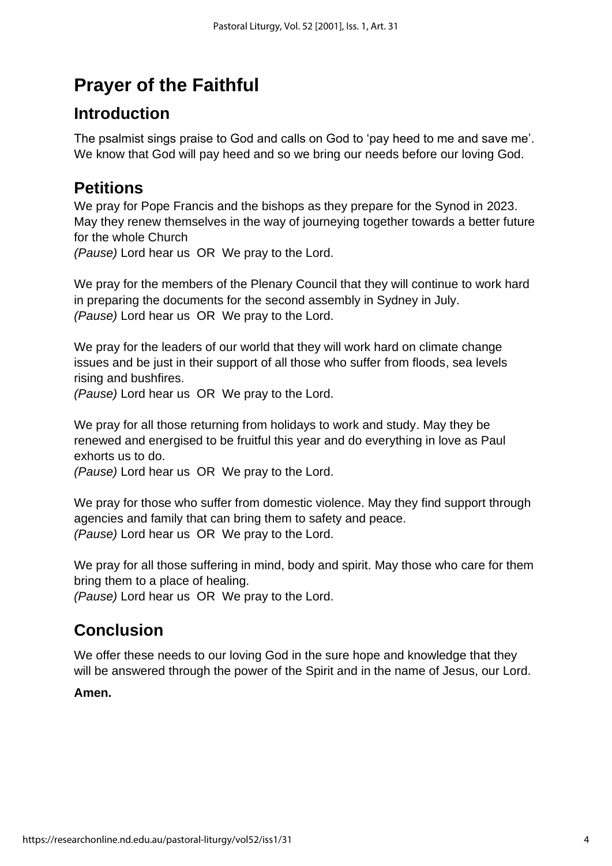# **Prayer of the Faithful**

## **Introduction**

The psalmist sings praise to God and calls on God to 'pay heed to me and save me'. We know that God will pay heed and so we bring our needs before our loving God.

# **Petitions**

We pray for Pope Francis and the bishops as they prepare for the Synod in 2023. May they renew themselves in the way of journeying together towards a better future for the whole Church

*(Pause)* Lord hear us OR We pray to the Lord.

We pray for the members of the Plenary Council that they will continue to work hard in preparing the documents for the second assembly in Sydney in July. *(Pause)* Lord hear us OR We pray to the Lord.

We pray for the leaders of our world that they will work hard on climate change issues and be just in their support of all those who suffer from floods, sea levels rising and bushfires.

*(Pause)* Lord hear us OR We pray to the Lord.

We pray for all those returning from holidays to work and study. May they be renewed and energised to be fruitful this year and do everything in love as Paul exhorts us to do.

*(Pause)* Lord hear us OR We pray to the Lord.

We pray for those who suffer from domestic violence. May they find support through agencies and family that can bring them to safety and peace. *(Pause)* Lord hear us OR We pray to the Lord.

We pray for all those suffering in mind, body and spirit. May those who care for them bring them to a place of healing.

*(Pause)* Lord hear us OR We pray to the Lord.

# **Conclusion**

We offer these needs to our loving God in the sure hope and knowledge that they will be answered through the power of the Spirit and in the name of Jesus, our Lord.

### **Amen.**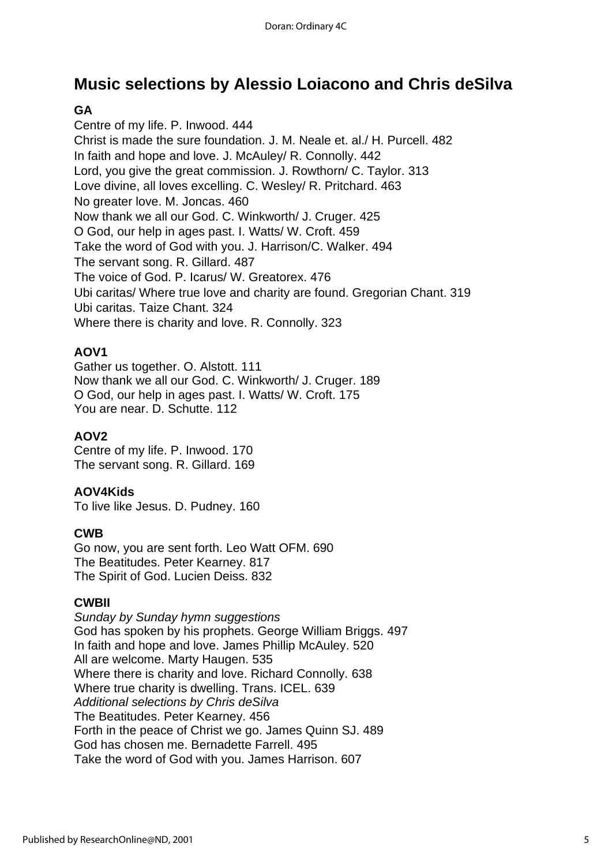## **Music selections by Alessio Loiacono and Chris deSilva**

### **GA**

Centre of my life. P. Inwood. 444 Christ is made the sure foundation. J. M. Neale et. al./ H. Purcell. 482 In faith and hope and love. J. McAuley/ R. Connolly. 442 Lord, you give the great commission. J. Rowthorn/ C. Taylor. 313 Love divine, all loves excelling. C. Wesley/ R. Pritchard. 463 No greater love. M. Joncas. 460 Now thank we all our God. C. Winkworth/ J. Cruger. 425 O God, our help in ages past. I. Watts/ W. Croft. 459 Take the word of God with you. J. Harrison/C. Walker. 494 The servant song. R. Gillard. 487 The voice of God. P. Icarus/ W. Greatorex. 476 Ubi caritas/ Where true love and charity are found. Gregorian Chant. 319 Ubi caritas. Taize Chant. 324 Where there is charity and love. R. Connolly. 323

### **AOV1**

Gather us together. O. Alstott. 111 Now thank we all our God. C. Winkworth/ J. Cruger. 189 O God, our help in ages past. I. Watts/ W. Croft. 175 You are near. D. Schutte. 112

### **AOV2**

Centre of my life. P. Inwood. 170 The servant song. R. Gillard. 169

### **AOV4Kids**

To live like Jesus. D. Pudney. 160

### **CWB**

Go now, you are sent forth. Leo Watt OFM. 690 The Beatitudes. Peter Kearney. 817 The Spirit of God. Lucien Deiss. 832

### **CWBII**

*Sunday by Sunday hymn suggestions* God has spoken by his prophets. George William Briggs. 497 In faith and hope and love. James Phillip McAuley. 520 All are welcome. Marty Haugen. 535 Where there is charity and love. Richard Connolly. 638 Where true charity is dwelling. Trans. ICEL. 639 *Additional selections by Chris deSilva* The Beatitudes. Peter Kearney. 456 Forth in the peace of Christ we go. James Quinn SJ. 489 God has chosen me. Bernadette Farrell. 495 Take the word of God with you. James Harrison. 607